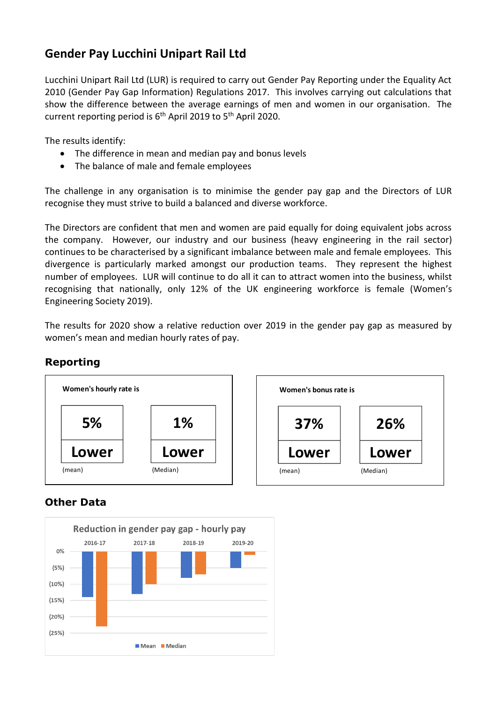## **Gender Pay Lucchini Unipart Rail Ltd**

Lucchini Unipart Rail Ltd (LUR) is required to carry out Gender Pay Reporting under the Equality Act 2010 (Gender Pay Gap Information) Regulations 2017. This involves carrying out calculations that show the difference between the average earnings of men and women in our organisation. The current reporting period is 6<sup>th</sup> April 2019 to 5<sup>th</sup> April 2020.

The results identify:

- The difference in mean and median pay and bonus levels
- The balance of male and female employees

The challenge in any organisation is to minimise the gender pay gap and the Directors of LUR recognise they must strive to build a balanced and diverse workforce.

The Directors are confident that men and women are paid equally for doing equivalent jobs across the company. However, our industry and our business (heavy engineering in the rail sector) continues to be characterised by a significant imbalance between male and female employees. This divergence is particularly marked amongst our production teams. They represent the highest number of employees. LUR will continue to do all it can to attract women into the business, whilst recognising that nationally, only 12% of the UK engineering workforce is female (Women's Engineering Society 2019).

The results for 2020 show a relative reduction over 2019 in the gender pay gap as measured by women's mean and median hourly rates of pay.



## **Reporting**

## **Other Data**